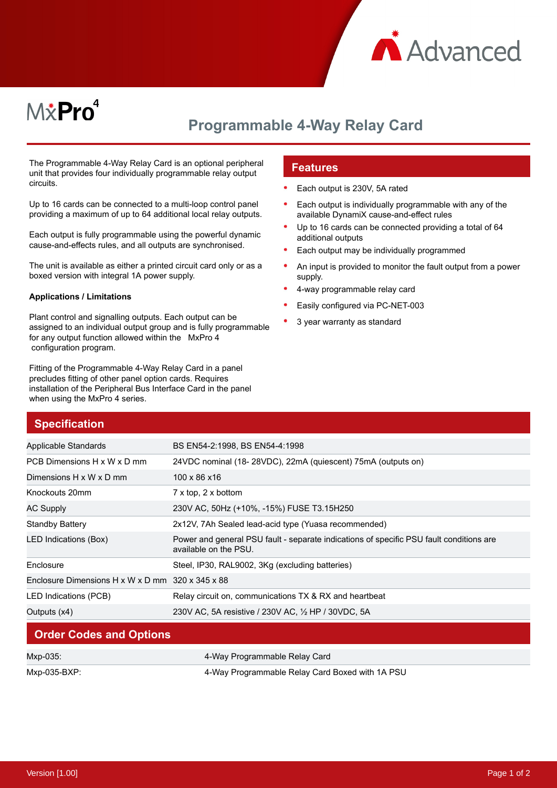

# M*\**Pro<sup>4</sup>

## **Programmable 4-Way Relay Card**

The Programmable 4-Way Relay Card is an optional peripheral unit that provides four individually programmable relay output circuits.

Up to 16 cards can be connected to a multi-loop control panel providing a maximum of up to 64 additional local relay outputs.

Each output is fully programmable using the powerful dynamic cause-and-effects rules, and all outputs are synchronised.

The unit is available as either a printed circuit card only or as a boxed version with integral 1A power supply.

#### **Applications / Limitations**

Plant control and signalling outputs. Each output can be assigned to an individual output group and is fully programmable for any output function allowed within the MxPro 4 configuration program.

Fitting of the Programmable 4-Way Relay Card in a panel precludes fitting of other panel option cards. Requires installation of the Peripheral Bus Interface Card in the panel when using the MxPro 4 series.

#### **Features**

- Each output is 230V, 5A rated
- Each output is individually programmable with any of the available DynamiX cause-and-effect rules
- Up to 16 cards can be connected providing a total of 64 additional outputs
- Each output may be individually programmed
- An input is provided to monitor the fault output from a power supply.
- 4-way programmable relay card
- Easily configured via PC-NET-003
- 3 year warranty as standard

| <b>Specification</b>                             |                                                                                                                  |
|--------------------------------------------------|------------------------------------------------------------------------------------------------------------------|
| Applicable Standards                             | BS EN54-2:1998, BS EN54-4:1998                                                                                   |
| PCB Dimensions H x W x D mm                      | 24VDC nominal (18-28VDC), 22mA (quiescent) 75mA (outputs on)                                                     |
| Dimensions H x W x D mm                          | 100 x 86 x 16                                                                                                    |
| Knockouts 20mm                                   | $7 \times$ top, 2 $\times$ bottom                                                                                |
| <b>AC Supply</b>                                 | 230V AC, 50Hz (+10%, -15%) FUSE T3.15H250                                                                        |
| <b>Standby Battery</b>                           | 2x12V, 7Ah Sealed lead-acid type (Yuasa recommended)                                                             |
| LED Indications (Box)                            | Power and general PSU fault - separate indications of specific PSU fault conditions are<br>available on the PSU. |
| Enclosure                                        | Steel, IP30, RAL9002, 3Kg (excluding batteries)                                                                  |
| Enclosure Dimensions H x W x D mm 320 x 345 x 88 |                                                                                                                  |
| LED Indications (PCB)                            | Relay circuit on, communications TX & RX and heartbeat                                                           |
| Outputs (x4)                                     | 230V AC, 5A resistive / 230V AC, 1/2 HP / 30VDC, 5A                                                              |

#### **Order Codes and Options**

| Mxp-035:     | 4-Way Programmable Relay Card                   |
|--------------|-------------------------------------------------|
| Mxp-035-BXP: | 4-Way Programmable Relay Card Boxed with 1A PSU |